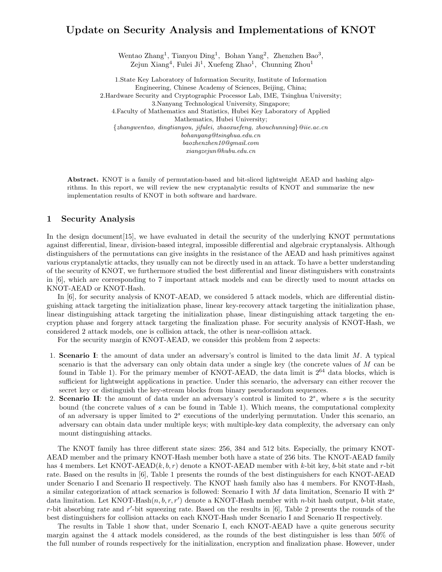# **Update on Security Analysis and Implementations of KNOT**

Wentao Zhang<sup>1</sup>, Tianyou Ding<sup>1</sup>, Bohan Yang<sup>2</sup>, Zhenzhen Bao<sup>3</sup>, Zejun Xiang<sup>4</sup>, Fulei Ji<sup>1</sup>, Xuefeng Zhao<sup>1</sup>, Chunning Zhou<sup>1</sup>

1.State Key Laboratory of Information Security, Institute of Information Engineering, Chinese Academy of Sciences, Beijing, China; 2.Hardware Security and Cryptographic Processor Lab, IME, Tsinghua University; 3.Nanyang Technological University, Singapore; 4.Faculty of Mathematics and Statistics, Hubei Key Laboratory of Applied Mathematics, Hubei University; *{zhangwentao, dingtianyou, jifulei, zhaoxuefeng, [zhouchunning](mailto:zhouchunning}@iie.ac.cn)}@iie.ac.cn bohanyang@tsinghua.edu.cn [baozhenzhen10@gmail.com](mailto:baozhenzhen10@gmail.com) xiangzejun@hubu.edu.cn*

**Abstract.** KNOT is a family of permutation-based and bit-sliced lightweight AEAD and hashing algorithms. In this report, we will review the new cryptanalytic results of KNOT and summarize the new implementation results of KNOT in both software and hardware.

### **1 Security Analysis**

In the design document[15], we have evaluated in detail the security of the underlying KNOT permutations against differential, linear, division-based integral, impossible differential and algebraic cryptanalysis. Although distinguishers of the permutations can give insights in the resistance of the AEAD and hash primitives against various cryptanalytic attacks, they usually can not be directly used in an attack. To have a better understanding of the security of KNOT, we furthermore studied the best differential and linear distinguishers with constraints in [6], which are corresponding to 7 important attack models and can be directly used to mount attacks on KNOT-AEAD or KNOT-Hash.

In [6], for security analysis of KNOT-AEAD, we considered 5 attack models, which are differential distinguishing attack targeting the initialization phase, linear key-recovery attack targeting the initialization phase, linear distinguishing attack targeting the initialization phase, linear distinguishing attack targeting the encryption phase and forgery attack targeting the finalization phase. For security analysis of KNOT-Hash, we considered 2 attack models, one is collision attack, the other is near-collision attack.

For the security margin of KNOT-AEAD, we consider this problem from 2 aspects:

- 1. **Scenario I**: the amount of data under an adversary's control is limited to the data limit *M*. A typical scenario is that the adversary can only obtain data under a single key (the concrete values of *M* can be found in Table 1). For the primary member of KNOT-AEAD, the data limit is  $2^{64}$  data blocks, which is sufficient for lightweight applications in practice. Under this scenario, the adversary can either recover the secret key or distinguish the key-stream blocks from binary pseudorandom sequences.
- 2. **Scenario II**: the amount of data under an adversary's control is limited to 2*<sup>s</sup>*, where *s* is the security bound (the concrete values of *s* can be found in Table 1). Which means, the computational complexity of an adversary is upper limited to 2*<sup>s</sup>* executions of the underlying permutation. Under this scenario, an adversary can obtain data under multiple keys; with multiple-key data complexity, the adversary can only mount distinguishing attacks.

The KNOT family has three different state sizes: 256, 384 and 512 bits. Especially, the primary KNOT-AEAD member and the primary KNOT-Hash member both have a state of 256 bits. The KNOT-AEAD family has 4 members. Let KNOT-AEAD(*k, b, r*) denote a KNOT-AEAD member with *k*-bit key, *b*-bit state and *r*-bit rate. Based on the results in [6], Table 1 presents the rounds of the best distinguishers for each KNOT-AEAD under Scenario I and Scenario II respectively. The KNOT hash family also has 4 members. For KNOT-Hash, a similar categorization of attack scenarios is followed: Scenario I with *M* data limitation, Scenario II with 2*<sup>s</sup>* data limitation. Let  $KNOT\text{-Hash}(n, b, r, r')$  denote a  $KNOT\text{-Hash}$  member with *n*-bit hash output, *b*-bit state, *r*-bit absorbing rate and *r'*-bit squeezing rate. Based on the results in [6], Table 2 presents the rounds of the best distinguishers for collision attacks on each KNOT-Hash under Scenario I and Scenario II respectively.

The results in Table 1 show that, under Scenario I, each KNOT-AEAD have a quite generous security margin against the 4 attack models considered, as the rounds of the best distinguisher is less than 50% of the full number of rounds respectively for the initialization, encryption and finalization phase. However, under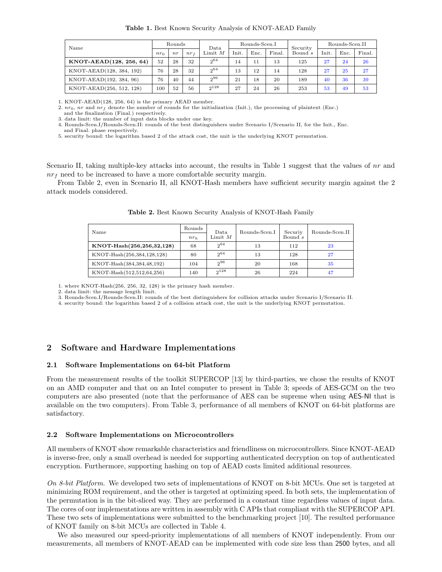| Table 1. Best Known Security Analysis of KNOT-AEAD Family |  |  |  |
|-----------------------------------------------------------|--|--|--|
|-----------------------------------------------------------|--|--|--|

| Name                     | Rounds  |     | Data   | Rounds-Scen.I |                 |      | Security | Rounds-Scen.II |       |      |        |
|--------------------------|---------|-----|--------|---------------|-----------------|------|----------|----------------|-------|------|--------|
|                          | $n_{r}$ | n r | $nr_f$ | Limit $M$     | $_{\rm{Init.}}$ | Enc. | Final.   | Bound $s$      | Init. | Enc. | Final. |
| KNOT-AEAD(128, 256, 64)  | 52      | 28  | 32     | $2^{64}$      | 14              | 11   | 13       | 125            | 27    | 24   | 26     |
| KNOT-AEAD(128, 384, 192) | 76      | 28  | 32     | $2^{64}$      | 13              | 12   | 14       | 128            | 27    | 25   | 27     |
| KNOT-AEAD(192, 384, 96)  | 76      | 40  | 44     | $2^{96}$      | 21              | 18   | 20       | 189            | 40    | 36   | 39     |
| KNOT-AEAD(256, 512, 128) | 100     | 52  | 56     | $2^{128}$     | 27              | 24   | 26       | 253            | 53    | 49   | 53     |

1. KNOT-AEAD(128, 256, 64) is the primary AEAD member.

2. *nr*0, *nr* and *nr<sup>f</sup>* denote the number of rounds for the initialization (Init.), the processing of plaintext (Enc.)

and the finalization (Final.) respectively. 3. data limit: the number of input data blocks under one key.

4. [Rounds-Scen.I/Rounds-Scen.II](https://Rounds-Scen.I/Rounds-Scen.II): rounds of the best distinguishers under Scenario I/Scenario II, for the Init., Enc.

and Final. phase respectively. 5. security bound: the logarithm based 2 of the attack cost, the unit is the underlying KNOT permutation.

Scenario II, taking multiple-key attacks into account, the results in Table 1 suggest that the values of *nr* and *nr<sup>f</sup>* need to be increased to have a more comfortable security margin.

From Table 2, even in Scenario II, all KNOT-Hash members have sufficient security margin against the 2 attack models considered.

| Name                       | Rounds | Data      | Rounds-Scen.I | Securiy | Rounds-Scen.II |  |
|----------------------------|--------|-----------|---------------|---------|----------------|--|
|                            | $nr_h$ | Limit $M$ |               | Bound s |                |  |
| KNOT-Hash(256,256,32,128)  | 68     | $2^{64}$  | 13            | 112     | 23             |  |
| KNOT-Hash(256,384,128,128) | 80     | $2^{64}$  | 13            | 128     | 27             |  |
| KNOT-Hash(384,384,48,192)  | 104    | $2^{96}$  | 20            | 168     | 35             |  |
| KNOT-Hash(512,512,64,256)  | 140    | $2^{128}$ | 26            | 224     | 47             |  |

**Table 2.** Best Known Security Analysis of KNOT-Hash Family

1. where KNOT-Hash(256, 256, 32, 128) is the primary hash member.

2. data limit: the message length limit.

3. [Rounds-Scen.I/Rounds-Scen.II](https://Rounds-Scen.I/Rounds-Scen.II): rounds of the best distinguishers for collision attacks under Scenario I/Scenario II.

4. security bound: the logarithm based 2 of a collision attack cost, the unit is the underlying KNOT permutation.

### **2 Software and Hardware Implementations**

#### **2.1 Software Implementations on 64-bit Platform**

From the measurement results of the toolkit SUPERCOP [13] by third-parties, we chose the results of KNOT on an AMD computer and that on an Intel computer to present in Table 3; speeds of AES-GCM on the two computers are also presented (note that the performance of AES can be supreme when using AES-NI that is available on the two computers). From Table 3, performance of all members of KNOT on 64-bit platforms are satisfactory.

#### **2.2 Software Implementations on Microcontrollers**

All members of KNOT show remarkable characteristics and friendliness on microcontrollers. Since KNOT-AEAD is inverse-free, only a small overhead is needed for supporting authenticated decryption on top of authenticated encryption. Furthermore, supporting hashing on top of AEAD costs limited additional resources.

*On 8-bit Platform.* We developed two sets of implementations of KNOT on 8-bit MCUs. One set is targeted at minimizing ROM requirement, and the other is targeted at optimizing speed. In both sets, the implementation of the permutation is in the bit-sliced way. They are performed in a constant time regardless values of input data. The cores of our implementations are written in assembly with C APIs that compliant with the SUPERCOP API. These two sets of implementations were submitted to the benchmarking project [10]. The resulted performance of KNOT family on 8-bit MCUs are collected in Table 4.

We also measured our speed-priority implementations of all members of KNOT independently. From our measurements, all members of KNOT-AEAD can be implemented with code size less than 2500 bytes, and all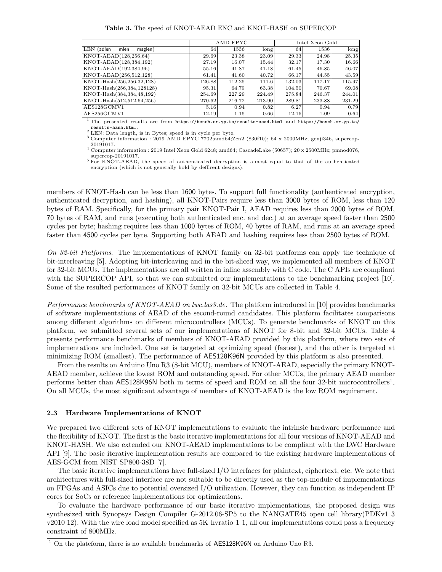**Table 3.** The speed of KNOT-AEAD ENC and KNOT-HASH on SUPERCOP

|                               |        | AMD EPYC |        | Intel Xeon Gold |        |                        |  |
|-------------------------------|--------|----------|--------|-----------------|--------|------------------------|--|
| $LEN$ (adlen = mlen = msglen) | 64     | 1536     | long   | 64              | 1536   | $\lfloor \log \rfloor$ |  |
| KNOT-AEAD(128,256,64)         | 29.69  | 23.38    | 23.09  | 29.33           | 24.98  | 25.35                  |  |
| KNOT-AEAD(128,384,192)        | 27.19  | 16.07    | 15.44  | 32.17           | 17.30  | 16.66                  |  |
| KNOT-AEAD(192,384,96)         | 55.16  | 41.87    | 41.18  | 61.45           | 46.85  | 46.07                  |  |
| KNOT-AEAD(256,512,128)        | 61.41  | 41.60    | 40.72  | 66.17           | 44.55  | 43.59                  |  |
| KNOT-Hash(256,256,32,128)     | 126.88 | 112.25   | 111.6  | 132.03          | 117.17 | 115.97                 |  |
| KNOT-Hash(256,384,128128)     | 95.31  | 64.79    | 63.38  | 104.50          | 70.67  | 69.08                  |  |
| KNOT-Hash(384,384,48,192)     | 254.69 | 227.29   | 224.49 | 275.84          | 246.37 | 244.01                 |  |
| KNOT-Hash(512,512,64,256)     | 270.62 | 216.72   | 213.90 | 289.81          | 233.88 | 231.29                 |  |
| AES128GCMV1                   | 5.16   | 0.94     | 0.82   | 6.27            | 0.94   | 0.79                   |  |
| AES256GCMV1                   | 12.19  | 1.15     | 0.66   | 12.16           | 1.09   | 0.64                   |  |

<sup>1</sup> The presented results are from <https://bench.cr.yp.to/results-aead.html> and <https://bench.cr.yp.to>/

 $\frac{1}{2}$  LEN: Data length, is in Bytes; speed is in cycle per byte.<br> $\frac{3}{2}$  LEN: Data length, is in Bytes; speed is in cycle per byte.<br> $\frac{3}{2}$  Computer information : 2019 AMD EPYC 7702;amd64;Zen2 (830f10); 64 x 2000M  $^{\rm 20191017.}$  <code>Computer</code> information : 2019 Intel Xeon Gold 6248; amd64; CascadeLake (50657); 20 x 2500MHz; pmnod076,

supercop-20191017.  $5$  For KNOT-AEAD, the speed of authenticated decryption is almost equal to that of the authenticated

encryption (which is not generally hold by deffirent designs).

members of KNOT-Hash can be less than 1600 bytes. To support full functionality (authenticated encryption, authenticated decryption, and hashing), all KNOT-Pairs require less than 3000 bytes of ROM, less than 120 bytes of RAM. Specifically, for the primary pair KNOT-Pair I, AEAD requires less than 2000 bytes of ROM, 70 bytes of RAM, and runs (executing both authenticated enc. and dec.) at an average speed faster than 2500 cycles per byte; hashing requires less than 1000 bytes of ROM, 40 bytes of RAM, and runs at an average speed faster than 4500 cycles per byte. Supporting both AEAD and hashing requires less than 2500 bytes of ROM.

*On 32-bit Platforms.* The implementations of KNOT family on 32-bit platforms can apply the technique of bit-interleaving [5]. Adopting bit-interleaving and in the bit-sliced way, we implemented all members of KNOT for 32-bit MCUs. The implementations are all written in inline assembly with C code. The C APIs are compliant with the SUPERCOP API, so that we can submitted our implementations to the benchmarking project [10]. Some of the resulted performances of KNOT family on 32-bit MCUs are collected in Table 4.

*Performance benchmarks of KNOT-AEAD on [lwc.las3.de](https://lwc.las3.de).* The platform introduced in [10] provides benchmarks of software implementations of AEAD of the second-round candidates. This platform facilitates comparisons among different algorithms on different microcontrollers (MCUs). To generate benchmarks of KNOT on this platform, we submitted several sets of our implementations of KNOT for 8-bit and 32-bit MCUs. Table 4 presents performance benchmarks of members of KNOT-AEAD provided by this platform, where two sets of implementations are included. One set is targeted at optimizing speed (fastest), and the other is targeted at minimizing ROM (smallest). The performance of AES128K96N provided by this platform is also presented.

From the results on Arduino Uno R3 (8-bit MCU), members of KNOT-AEAD, especially the primary KNOT-AEAD member, achieve the lowest ROM and outstanding speed. For other MCUs, the primary AEAD member performs better than AES128K96N both in terms of speed and ROM on all the four 32-bit microcontrollers<sup>1</sup>. On all MCUs, the most significant advantage of members of KNOT-AEAD is the low ROM requirement.

#### **2.3 Hardware Implementations of KNOT**

We prepared two different sets of KNOT implementations to evaluate the intrinsic hardware performance and the flexibility of KNOT. The first is the basic iterative implementations for all four versions of KNOT-AEAD and KNOT-HASH. We also extended our KNOT-AEAD implementations to be compliant with the LWC Hardware API [9]. The basic iterative implementation results are compared to the existing hardware implementations of AES-GCM from NIST SP800-38D [7].

The basic iterative implementations have full-sized I/O interfaces for plaintext, ciphertext, etc. We note that architectures with full-sized interface are not suitable to be directly used as the top-module of implementations on FPGAs and ASICs due to potential oversized I/O utilization. However, they can function as independent IP cores for SoCs or reference implementations for optimizations.

To evaluate the hardware performance of our basic iterative implementations, the proposed design was synthesized with Synopsys Design Compiler G-2012.06-SP5 to the NANGATE45 open cell library(PDKv1 3 v2010 12). With the wire load model specified as 5K hvratio 1 1, all our implementations could pass a frequency constraint of 800MHz.

 $1$  On the plateform, there is no available benchmarks of AES128K96N on Arduino Uno R3.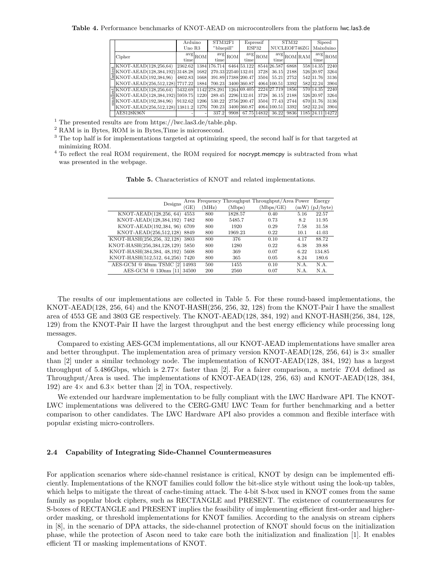**Table 4.** Performance benchmarks of KNOT-AEAD on microcontrollers from the platform [lwc.las3.de](https://lwc.las3.de)

|    |                                    | Arduino              |                                              | Espressif<br>STM32F1 |       |                     | STM32                                |             |           | Sipeed                              |             |            |
|----|------------------------------------|----------------------|----------------------------------------------|----------------------|-------|---------------------|--------------------------------------|-------------|-----------|-------------------------------------|-------------|------------|
|    |                                    | "bluepill"<br>Uno R3 |                                              |                      | ESP32 |                     | NUCLEOF746ZG                         |             | Maixduino |                                     |             |            |
|    | Cipher                             | time                 | $\left.{\rm avg}\right _{\rm ROM^{\dagger}}$ | avg<br>time          | ROM   | time                | $\left.\text{avg}\right _\text{ROM}$ | time        |           | $\frac{\text{avg}}{\text{ROM}}$ RAM | avg<br>time | <b>ROM</b> |
|    | $\downarrow$ KNOT-AEAD(128,256,64) | 2362.62              |                                              | 1384 176.714         |       | 6464 53.122         |                                      | 8544 26.587 | 6868      |                                     | 558 14.35   | 2240       |
|    | KNOT-AEAD(128,384,192) 3148.28     |                      | 1682                                         |                      |       | 270.33 22540 132.01 | 3728                                 | 36.15       | 2188      |                                     | 526 20.97   | 3264       |
|    | KNOT-AEAD(192,384,96)              | 4802.83              | 1668                                         |                      |       | 391.89 17388 200.47 | 3504                                 | 55.21       | 2752      |                                     | 542 31.76   | 3136       |
|    | KNOT-AEAD(256,512,128) 7717.22     |                      | 1884                                         | 700.23               |       | 3400 360.87         |                                      | 4064 100.51 | 3392      |                                     | 582 32.24   | 3904       |
|    | $\#$ KNOT-AEAD(128,256,64)         | 5432.69              |                                              | 1142 278.291         |       | 1264 69.405         |                                      | 2224 27.719 | 1856      |                                     | 570 14.35   | 2240       |
|    | KNOT-AEAD(128,384,192) 5959.75     |                      | 1220                                         | 289.45               |       | 2296 132.01         | 3728                                 | 36.15       | 2188      |                                     | 526 20.97   | 3264       |
| òó | KNOT-AEAD(192,384,96)              | 9132.62              | 1206                                         | 530.22               |       | 2756 200.47         | 3504                                 | 77.43       | 2744      |                                     | 670 31.76   | 3136       |
|    | KNOT-AEAD(256,512,128) 13811.2     |                      | 1276                                         | 700.23               |       | 3400 360.87         |                                      | 4064 100.51 | 3392      |                                     | 582 32.24   | 3904       |
|    | <b>AES128K96N</b>                  |                      |                                              | 337.2                | 9908  |                     | 67.75 14832                          | 36.22       | 9836      |                                     | 1185 24.11  | 14272      |

 $^{\rm 1}$  The presented results are from <https://lwc.las3.de/table.php>.

<sup>2</sup> RAM is in Bytes, ROM is in Bytes,Time is microsecond.

<sup>3</sup> The top half is for implementations targeted at optimizing speed, the second half is for that targeted at minimizing ROM.

<sup>4</sup> To reflect the real ROM requirement, the ROM required for nocrypt.memcpy is subtracted from what was presented in the webpage.

| <b>Table 5.</b> Characteristics of KNOT and related implementations. |  |
|----------------------------------------------------------------------|--|
|----------------------------------------------------------------------|--|

| Designs                         |      |       |         | Area Frequency Throughput Throughput/Area Power |      | Energy           |
|---------------------------------|------|-------|---------|-------------------------------------------------|------|------------------|
|                                 | (GE) | (MHz) | (Mbps)  | (Mbps/GE)                                       |      | $(mW)$ (pJ/byte) |
| KNOT-AEAD(128,256, 64)          | 4553 | 800   | 1828.57 | 0.40                                            | 5.16 | 22.57            |
| KNOT-AEAD(128,384,192) 7482     |      | 800   | 5485.7  | 0.73                                            | 8.2  | 11.95            |
| KNOT-AEAD(192,384, 96) 6709     |      | 800   | 1920    | 0.29                                            | 7.58 | 31.58            |
| KNOT-AEAD(256,512,128) 8849     |      | 800   | 1969.23 | 0.22                                            | 10.1 | 41.03            |
| KNOT-HASH(256,256, 32,128) 3803 |      | 800   | 376     | 0.10                                            | 4.17 | 88.72            |
| KNOT-HASH(256,384,128,129) 5850 |      | 800   | 1280    | 0.22                                            | 6.38 | 39.88            |
| KNOT-HASH(384,384, 48,192)      | 5608 | 800   | 369     | 0.07                                            | 6.22 | 134.85           |
| KNOT-HASH(512,512, 64,256) 7420 |      | 800   | 365     | 0.05                                            | 8.24 | 180.6            |
| AES-GCM @ 40nm TSMC [2] 14993   |      | 500   | 1455    | 0.10                                            | N.A. | N.A.             |
| AES-GCM @ 130nm [11] 34500      |      | 200   | 2560    | 0.07                                            | N.A. | N.A.             |

The results of our implementations are collected in Table 5. For these round-based implementations, the KNOT-AEAD(128, 256, 64) and the KNOT-HASH(256, 256, 32, 128) from the KNOT-Pair I have the smallest area of 4553 GE and 3803 GE respectively. The KNOT-AEAD(128, 384, 192) and KNOT-HASH(256, 384, 128, 129) from the KNOT-Pair II have the largest throughput and the best energy efficiency while processing long messages.

Compared to existing AES-GCM implementations, all our KNOT-AEAD implementations have smaller area and better throughput. The implementation area of primary version KNOT-AEAD(128, 256, 64) is 3*×* smaller than [2] under a similar technology node. The implementation of KNOT-AEAD(128, 384, 192) has a largest throughput of 5.486Gbps, which is 2*.*77*×* faster than [2]. For a fairer comparison, a metric *TOA* defined as Throughput*/*Area is used. The implementations of KNOT-AEAD(128, 256, 63) and KNOT-AEAD(128, 384, 192) are 4*×* and 6*.*3*×* better than [2] in TOA, respectively.

We extended our hardware implementation to be fully compliant with the LWC Hardware API. The KNOT-LWC implementations was delivered to the CERG-GMU LWC Team for further benchmarking and a better comparison to other candidates. The LWC Hardware API also provides a common and flexible interface with popular existing micro-controllers.

### **2.4 Capability of Integrating Side-Channel Countermeasures**

For application scenarios where side-channel resistance is critical, KNOT by design can be implemented efficiently. Implementations of the KNOT families could follow the bit-slice style without using the look-up tables, which helps to mitigate the threat of cache-timing attack. The 4-bit S-box used in KNOT comes from the same family as popular block ciphers, such as RECTANGLE and PRESENT. The existence of countermeasures for S-boxes of RECTANGLE and PRESENT implies the feasibility of implementing efficient first-order and higherorder masking, or threshold implementations for KNOT families. According to the analysis on stream ciphers in [8], in the scenario of DPA attacks, the side-channel protection of KNOT should focus on the initialization phase, while the protection of Ascon need to take care both the initialization and finalization [1]. It enables efficient TI or masking implementations of KNOT.